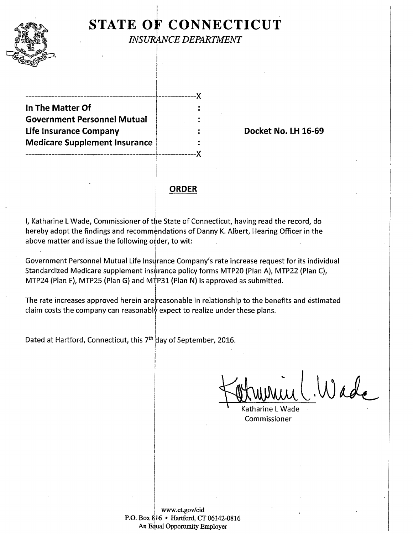## I **STATE OF CONNECTICUT** INSURANCE DEPARTMENT

---------------------------------------------r'-------------){ **In The Matter Of** : **Government Personnel Mutual** ! Life Insurance Company **Internal Company Company Company Example 2 Section 2 Section 16-69 Medicare Supplement Insurance** 

---------------------------------------------~r-------------)(

### **ORDER**

I, Katharine L Wade, Commissioner of the State of Connecticut, having read the record, do hereby adopt the findings and recommendations of Danny K. Albert, Hearing Officer in the above matter and issue the following order, to wit: I

I

!

 $\vert$ 

Government Personnel Mutual Life Insurance Company's rate increase request for its individual Standardized Medicare supplement insurance policy forms MTP20 (Plan A), MTP22 (Plan C), MTP24 (Plan F), MTP25 (Plan G) and MTP31 (Plan N) is approved as submitted.

The rate increases approved herein are reasonable in relationship to the benefits and estimated claim costs the company can reasonably expect to realize under these plans.

Dated at Hartford, Connecticut, this 7<sup>th day</sup> of September, 2016.

Wade

Katharine L Wade Commissioner

www.ct.gov/cid <sup>1</sup> P.O. Box 816 • Hartford, CT 06142-0816 An Equal Opportunity Employer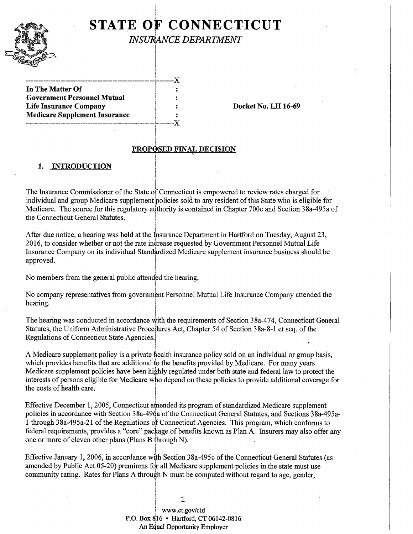

# **STATE OF CONNECTICUT INSURANCE DEPARTMENT**

---------------------------------------------------- -------X **In The Matter Of Government Personnel Mutual Life Insurance Company Docket No. LH 16-69 Medicare Supplement Insurance** 

------------------------------------------------------------X

#### PROPOSED FINAL DECISION

'

#### **1. INTRODUCTION**

The Insurance Commissioner of the State of Connecticut is empowered to review rates charged for individual and group Medicare supplement policies sold to any resident of this State who is eligible for Medicare. The source for this regulatory authority is contained in Chapter 700c and Section 38a-495a of the Connecticut General Statutes.

After due notice, a hearing was held at the  $\ln$  insurance Department in Hartford on Tuesday, August 23, 2016, to consider whether or not the rate increase requested by Government Personnel Mutual Life Insurance Company on its individual Standardized Medicare supplement insurance business should be approved.

No members from the general public attended the hearing.

No company representatives from government Personnel Mutual Life Insurance Company attended the hearing.

The hearing was conducted in accordance with the requirements of Section 38a-474, Connecticut General Statutes, the Uniform Administrative Procedures Act, Chapter 54 of Section 38a-8-1 et seq. of the Regulations of Connecticut State Agencies.

A Medicare supplement policy is a private health insurance policy sold on an individual or group basis, which provides benefits that are additional to the benefits provided by Medicare. For many years Medicare supplement policies have been highly regulated under both state and federal law to protect the interests of persons eligible for Medicare who depend on these policies to provide additional coverage for the costs of health care.

Effective December 1, 2005, Connecticut amended its program of standardized Medicare supplement policies in accordance with Section 38a-49 $\dot{\theta}$ a of the Connecticut General Statutes, and Sections 38a-495a-1 through 38a-495a-21 of the Regulations of Connecticut Agencies. This program, which conforms to federal requirements, provides a "core" package of benefits known as Plan A. Insurers may also offer any one or more of eleven other plans (Plans B through N).

Effective January 1, 2006, in accordance with Section 38a-495c of the Connecticut General Statutes (as amended by Public Act 05-20) premiums for all Medicare supplement policies in the state must use community rating. Rates for Plans A through N must be computed without regard to age, gender,

> www.ct.gov/cid **P.O.** Box 8j16 • Hartford, CT 06142-0816 An Equal Opportunity Employer

**1**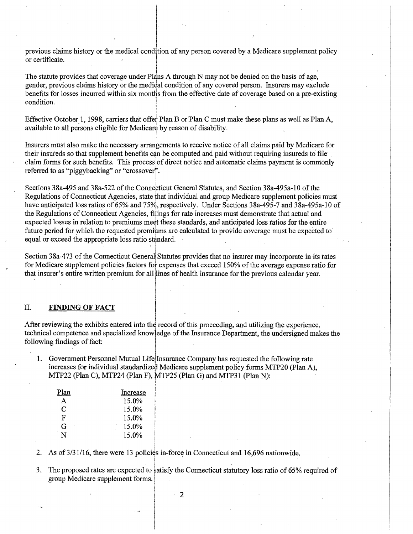previous claims history or the medical condition of any person covered by a Medicare supplement policy or certificate. I

The statute provides that coverage under Plans A through N may not be denied on the basis of age, gender, previous claims history or the medical condition of any covered person. Insurers may exclude benefits for losses incurred within six months from the effective date of coverage based on a pre-existing The statute provides that coverage under Plans A t<br>gender, previous claims history or the medical con<br>benefits for losses incurred within six months from<br>condition.

Effective October 1, 1998, carriers that offer Plan B or Plan C must make these plans as well as Plan A, available to all persons eligible for Medicare by reason of disability.

Insurers must also make the necessary arrangements to receive notice of all claims paid by Medicare for their insureds so that supplement benefits can be computed and paid without requiring insureds to file claim forms for such benefits. This process of direct notice and automatic claims payment is commonly referred to as "piggybacking" or "crossover".

Sections 38a-495 and 38a-522 of the Connecticut General Statutes, and Section 38a-495a-10 of the Regulations of Connecticut Agencies, state that individual and group Medicare supplement policies must have anticipated loss ratios of 65% and 75%, respectively. Under Sections  $38a-495-7$  and  $38a-495a-10$  of the Regulations of Connecticut Agencies, filings for rate increases must demonstrate that actual and expected losses in relation to premiums meet these standards, and anticipated loss ratios for the entire future period for which the requested premiums are calculated to provide coverage must be expected to equal or exceed the appropriate loss ratio standard.

Section 38a-473 of the Connecticut General Statutes provides that no insurer may incorporate in its rates for Medicare supplement policies factors fol expenses that exceed 150% ofthe average expense ratio for that insurer's entire written premium for all lines of health insurance for the previous calendar year.

l

II. FINDING OF FACT<br>After reviewing the exhibits entered into the record of this proceeding, and utilizing the experience, technical competence and specialized knowledge of the Insurance Department, the undersigned makes the following findings of fact:

1. Government Personnel Mutual Life Insurance Company has requested the following rate increases for individual standardized Medicare supplement policy forms MTP20 (Plan A), MTP22 (Plan C), MTP24 (Plan F), MTP25 (Plan G) and MTP31 (Plan N): I

| Plan         | Increase |
|--------------|----------|
| $\mathsf{A}$ | 15.0%    |
| C            | 15.0%    |
| F            | 15.0%    |
| G            | $15.0\%$ |
|              | 15.0%    |

2. As of  $3/31/16$ , there were 13 policies in-force in Connecticut and 16,696 nationwide.

3. The proposed rates are expected to satisfy the Connecticut statutory loss ratio of 65% required of group Medicare supplement forms. . <sup>1</sup>

2